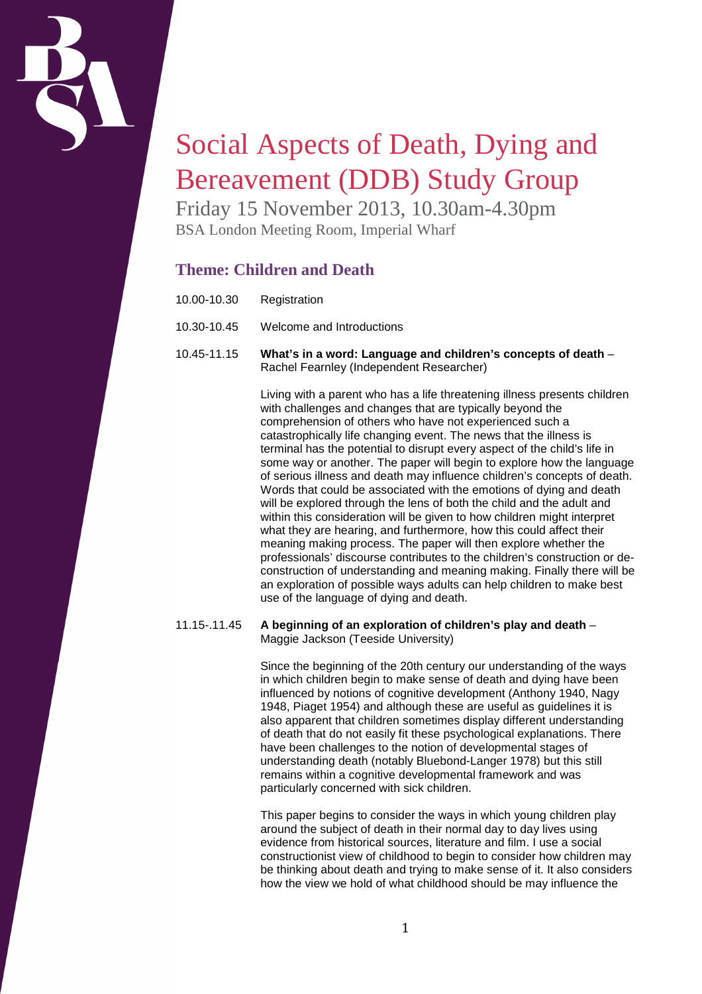

# Social Aspects of Death, Dying and Bereavement (DDB) Study Group

Friday 15 November 2013, 10.30am-4.30pm BSA London Meeting Room, Imperial Wharf

## **Theme: Children and Death**

- 10.00-10.30 Registration
- 10.30-10.45 Welcome and Introductions
- 10.45-11.15 **What's in a word: Language and children's concepts of death** Rachel Fearnley (Independent Researcher)

Living with a parent who has a life threatening illness presents children with challenges and changes that are typically beyond the comprehension of others who have not experienced such a catastrophically life changing event. The news that the illness is terminal has the potential to disrupt every aspect of the child's life in some way or another. The paper will begin to explore how the language of serious illness and death may influence children's concepts of death. Words that could be associated with the emotions of dying and death will be explored through the lens of both the child and the adult and within this consideration will be given to how children might interpret what they are hearing, and furthermore, how this could affect their meaning making process. The paper will then explore whether the professionals' discourse contributes to the children's construction or deconstruction of understanding and meaning making. Finally there will be an exploration of possible ways adults can help children to make best use of the language of dying and death.

#### 11.15-.11.45 **A beginning of an exploration of children's play and death** – Maggie Jackson (Teeside University)

Since the beginning of the 20th century our understanding of the ways in which children begin to make sense of death and dying have been influenced by notions of cognitive development (Anthony 1940, Nagy 1948, Piaget 1954) and although these are useful as guidelines it is also apparent that children sometimes display different understanding of death that do not easily fit these psychological explanations. There have been challenges to the notion of developmental stages of understanding death (notably Bluebond-Langer 1978) but this still remains within a cognitive developmental framework and was particularly concerned with sick children.

This paper begins to consider the ways in which young children play around the subject of death in their normal day to day lives using evidence from historical sources, literature and film. I use a social constructionist view of childhood to begin to consider how children may be thinking about death and trying to make sense of it. It also considers how the view we hold of what childhood should be may influence the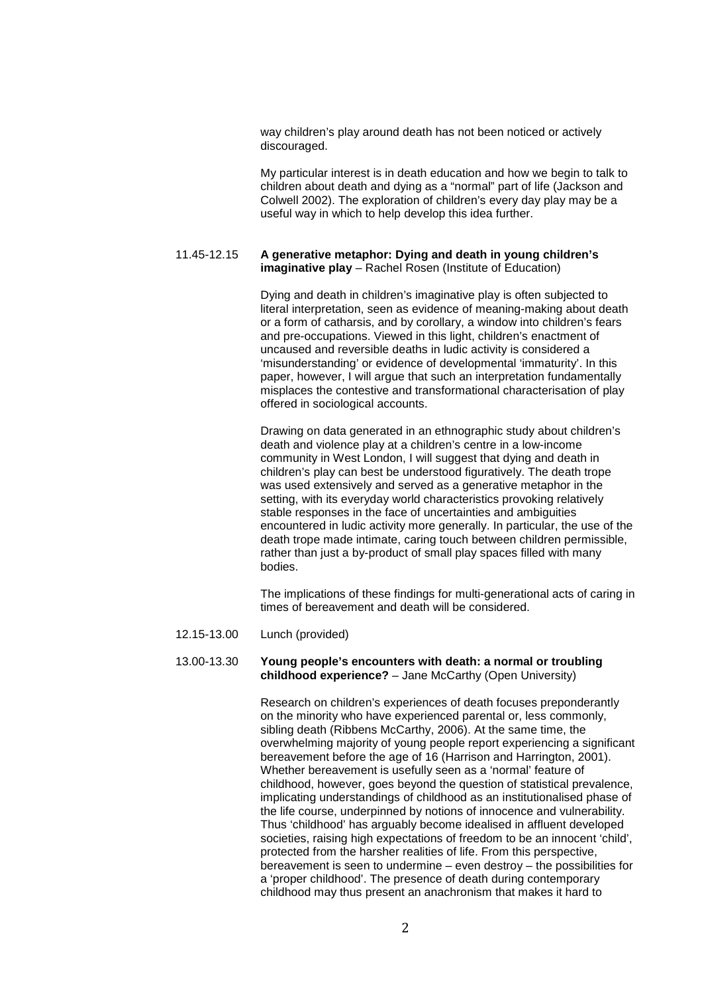way children's play around death has not been noticed or actively discouraged.

My particular interest is in death education and how we begin to talk to children about death and dying as a "normal" part of life (Jackson and Colwell 2002). The exploration of children's every day play may be a useful way in which to help develop this idea further.

#### 11.45-12.15 **A generative metaphor: Dying and death in young children's imaginative play** – Rachel Rosen (Institute of Education)

Dying and death in children's imaginative play is often subjected to literal interpretation, seen as evidence of meaning-making about death or a form of catharsis, and by corollary, a window into children's fears and pre-occupations. Viewed in this light, children's enactment of uncaused and reversible deaths in ludic activity is considered a 'misunderstanding' or evidence of developmental 'immaturity'. In this paper, however, I will argue that such an interpretation fundamentally misplaces the contestive and transformational characterisation of play offered in sociological accounts.

Drawing on data generated in an ethnographic study about children's death and violence play at a children's centre in a low-income community in West London, I will suggest that dying and death in children's play can best be understood figuratively. The death trope was used extensively and served as a generative metaphor in the setting, with its everyday world characteristics provoking relatively stable responses in the face of uncertainties and ambiguities encountered in ludic activity more generally. In particular, the use of the death trope made intimate, caring touch between children permissible, rather than just a by-product of small play spaces filled with many bodies.

The implications of these findings for multi-generational acts of caring in times of bereavement and death will be considered.

12.15-13.00 Lunch (provided)

#### 13.00-13.30 **Young people's encounters with death: a normal or troubling childhood experience?** – Jane McCarthy (Open University)

Research on children's experiences of death focuses preponderantly on the minority who have experienced parental or, less commonly, sibling death (Ribbens McCarthy, 2006). At the same time, the overwhelming majority of young people report experiencing a significant bereavement before the age of 16 (Harrison and Harrington, 2001). Whether bereavement is usefully seen as a 'normal' feature of childhood, however, goes beyond the question of statistical prevalence, implicating understandings of childhood as an institutionalised phase of the life course, underpinned by notions of innocence and vulnerability. Thus 'childhood' has arguably become idealised in affluent developed societies, raising high expectations of freedom to be an innocent 'child'. protected from the harsher realities of life. From this perspective, bereavement is seen to undermine – even destroy – the possibilities for a 'proper childhood'. The presence of death during contemporary childhood may thus present an anachronism that makes it hard to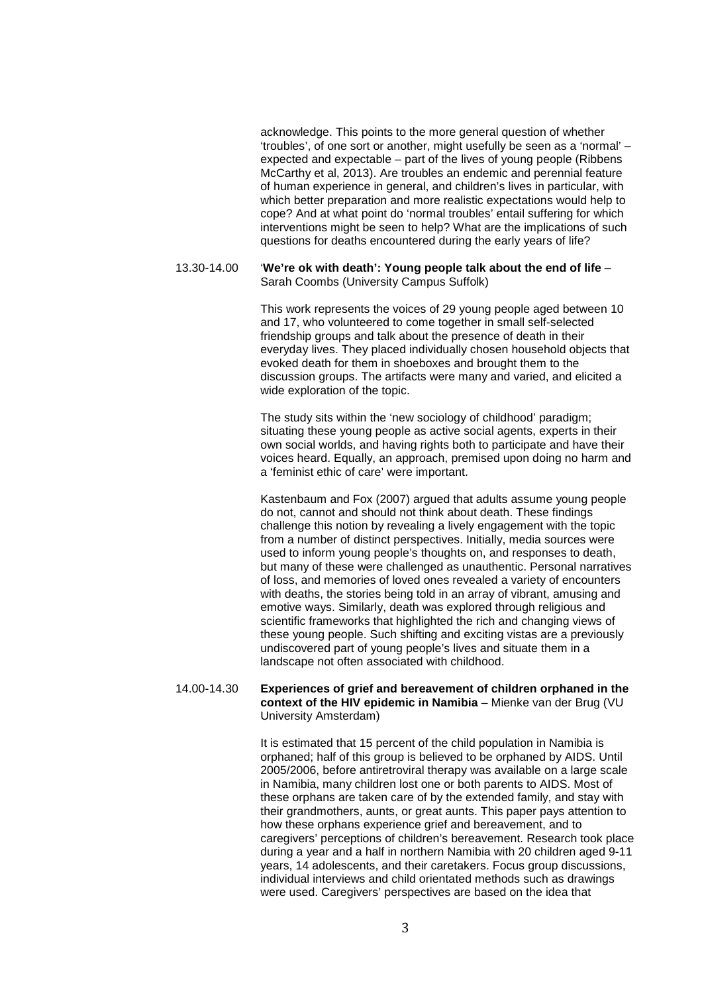acknowledge. This points to the more general question of whether 'troubles', of one sort or another, might usefully be seen as a 'normal' – expected and expectable – part of the lives of young people (Ribbens McCarthy et al, 2013). Are troubles an endemic and perennial feature of human experience in general, and children's lives in particular, with which better preparation and more realistic expectations would help to cope? And at what point do 'normal troubles' entail suffering for which interventions might be seen to help? What are the implications of such questions for deaths encountered during the early years of life?

#### 13.30-14.00 '**We're ok with death': Young people talk about the end of life** – Sarah Coombs (University Campus Suffolk)

This work represents the voices of 29 young people aged between 10 and 17, who volunteered to come together in small self-selected friendship groups and talk about the presence of death in their everyday lives. They placed individually chosen household objects that evoked death for them in shoeboxes and brought them to the discussion groups. The artifacts were many and varied, and elicited a wide exploration of the topic.

The study sits within the 'new sociology of childhood' paradigm; situating these young people as active social agents, experts in their own social worlds, and having rights both to participate and have their voices heard. Equally, an approach, premised upon doing no harm and a 'feminist ethic of care' were important.

Kastenbaum and Fox (2007) argued that adults assume young people do not, cannot and should not think about death. These findings challenge this notion by revealing a lively engagement with the topic from a number of distinct perspectives. Initially, media sources were used to inform young people's thoughts on, and responses to death, but many of these were challenged as unauthentic. Personal narratives of loss, and memories of loved ones revealed a variety of encounters with deaths, the stories being told in an array of vibrant, amusing and emotive ways. Similarly, death was explored through religious and scientific frameworks that highlighted the rich and changing views of these young people. Such shifting and exciting vistas are a previously undiscovered part of young people's lives and situate them in a landscape not often associated with childhood.

#### 14.00-14.30 **Experiences of grief and bereavement of children orphaned in the context of the HIV epidemic in Namibia** – Mienke van der Brug (VU University Amsterdam)

It is estimated that 15 percent of the child population in Namibia is orphaned; half of this group is believed to be orphaned by AIDS. Until 2005/2006, before antiretroviral therapy was available on a large scale in Namibia, many children lost one or both parents to AIDS. Most of these orphans are taken care of by the extended family, and stay with their grandmothers, aunts, or great aunts. This paper pays attention to how these orphans experience grief and bereavement, and to caregivers' perceptions of children's bereavement. Research took place during a year and a half in northern Namibia with 20 children aged 9-11 years, 14 adolescents, and their caretakers. Focus group discussions, individual interviews and child orientated methods such as drawings were used. Caregivers' perspectives are based on the idea that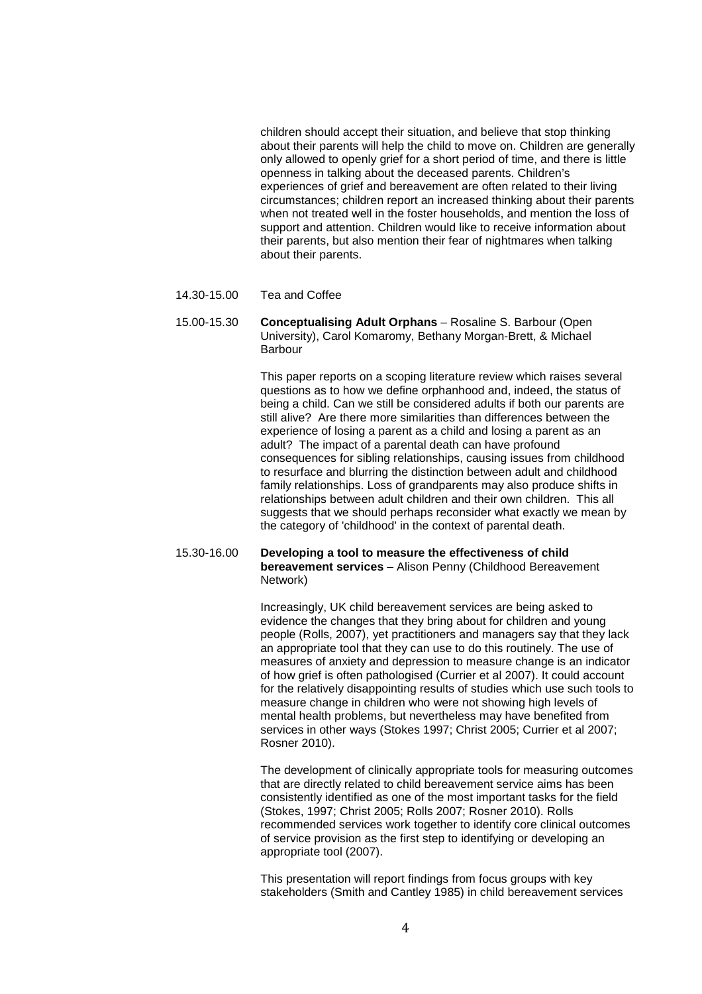children should accept their situation, and believe that stop thinking about their parents will help the child to move on. Children are generally only allowed to openly grief for a short period of time, and there is little openness in talking about the deceased parents. Children's experiences of grief and bereavement are often related to their living circumstances; children report an increased thinking about their parents when not treated well in the foster households, and mention the loss of support and attention. Children would like to receive information about their parents, but also mention their fear of nightmares when talking about their parents.

- 14.30-15.00 Tea and Coffee
- 15.00-15.30 **Conceptualising Adult Orphans** Rosaline S. Barbour (Open University), Carol Komaromy, Bethany Morgan-Brett, & Michael Barbour

This paper reports on a scoping literature review which raises several questions as to how we define orphanhood and, indeed, the status of being a child. Can we still be considered adults if both our parents are still alive? Are there more similarities than differences between the experience of losing a parent as a child and losing a parent as an adult? The impact of a parental death can have profound consequences for sibling relationships, causing issues from childhood to resurface and blurring the distinction between adult and childhood family relationships. Loss of grandparents may also produce shifts in relationships between adult children and their own children. This all suggests that we should perhaps reconsider what exactly we mean by the category of 'childhood' in the context of parental death.

### 15.30-16.00 **Developing a tool to measure the effectiveness of child bereavement services** – Alison Penny (Childhood Bereavement Network)

Increasingly, UK child bereavement services are being asked to evidence the changes that they bring about for children and young people (Rolls, 2007), yet practitioners and managers say that they lack an appropriate tool that they can use to do this routinely. The use of measures of anxiety and depression to measure change is an indicator of how grief is often pathologised (Currier et al 2007). It could account for the relatively disappointing results of studies which use such tools to measure change in children who were not showing high levels of mental health problems, but nevertheless may have benefited from services in other ways (Stokes 1997; Christ 2005; Currier et al 2007; Rosner 2010).

The development of clinically appropriate tools for measuring outcomes that are directly related to child bereavement service aims has been consistently identified as one of the most important tasks for the field (Stokes, 1997; Christ 2005; Rolls 2007; Rosner 2010). Rolls recommended services work together to identify core clinical outcomes of service provision as the first step to identifying or developing an appropriate tool (2007).

This presentation will report findings from focus groups with key stakeholders (Smith and Cantley 1985) in child bereavement services